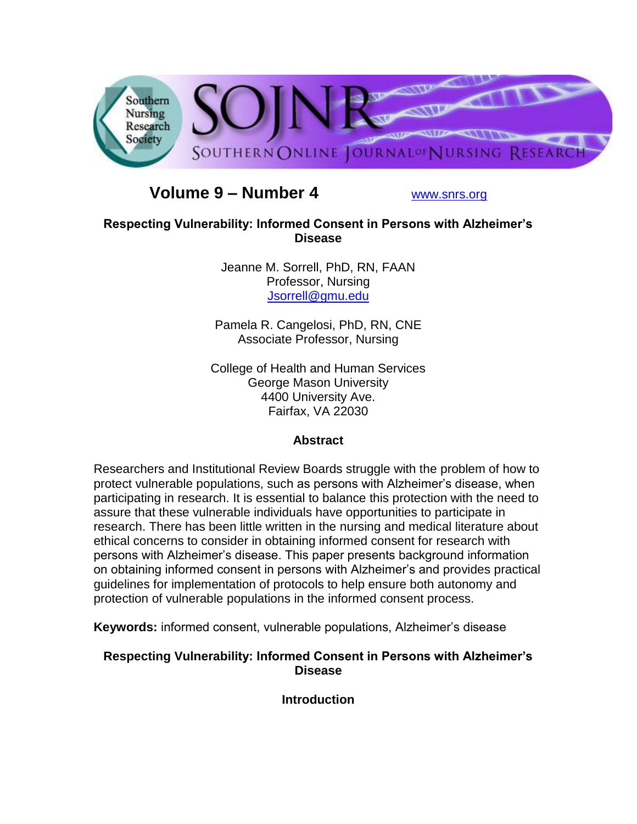

# **Volume 9 – Number 4** [www.snrs.org](http://www.snrs.org/)

## **Respecting Vulnerability: Informed Consent in Persons with Alzheimer's Disease**

Jeanne M. Sorrell, PhD, RN, FAAN Professor, Nursing [Jsorrell@gmu.edu](mailto:Jsorrell@gmu.edu)

Pamela R. Cangelosi, PhD, RN, CNE Associate Professor, Nursing

College of Health and Human Services George Mason University 4400 University Ave. Fairfax, VA 22030

## **Abstract**

Researchers and Institutional Review Boards struggle with the problem of how to protect vulnerable populations, such as persons with Alzheimer"s disease, when participating in research. It is essential to balance this protection with the need to assure that these vulnerable individuals have opportunities to participate in research. There has been little written in the nursing and medical literature about ethical concerns to consider in obtaining informed consent for research with persons with Alzheimer"s disease. This paper presents background information on obtaining informed consent in persons with Alzheimer"s and provides practical guidelines for implementation of protocols to help ensure both autonomy and protection of vulnerable populations in the informed consent process.

Keywords: informed consent, vulnerable populations, Alzheimer's disease

## **Respecting Vulnerability: Informed Consent in Persons with Alzheimer's Disease**

**Introduction**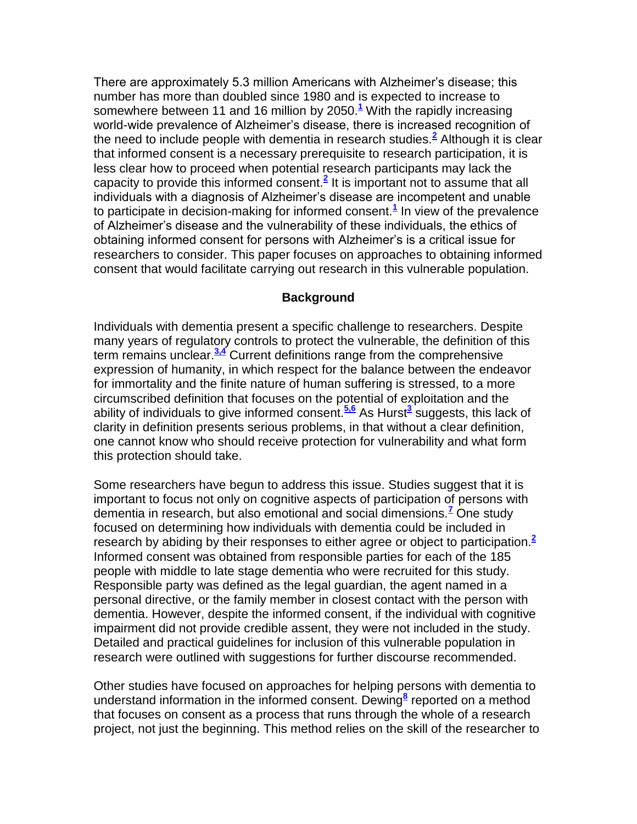There are approximately 5.3 million Americans with Alzheimer"s disease; this number has more than doubled since 1980 and is expected to increase to somewhere between 11 and 16 million by 2050.**[1](http://snrs.org/publications/SOJNR_articles2/n)** With the rapidly increasing world-wide prevalence of Alzheimer"s disease, there is increased recognition of the need to include people with dementia in research studies.**[2](http://snrs.org/publications/SOJNR_articles2/n)** Although it is clear that informed consent is a necessary prerequisite to research participation, it is less clear how to proceed when potential research participants may lack the capacity to provide this informed consent.**[2](http://snrs.org/publications/SOJNR_articles2/n)** It is important not to assume that all individuals with a diagnosis of Alzheimer"s disease are incompetent and unable to participate in decision-making for informed consent.**[1](http://snrs.org/publications/SOJNR_articles2/n)** In view of the prevalence of Alzheimer"s disease and the vulnerability of these individuals, the ethics of obtaining informed consent for persons with Alzheimer"s is a critical issue for researchers to consider. This paper focuses on approaches to obtaining informed consent that would facilitate carrying out research in this vulnerable population.

### **Background**

Individuals with dementia present a specific challenge to researchers. Despite many years of regulatory controls to protect the vulnerable, the definition of this term remains unclear.**[3,4](http://snrs.org/publications/SOJNR_articles2/n)** Current definitions range from the comprehensive expression of humanity, in which respect for the balance between the endeavor for immortality and the finite nature of human suffering is stressed, to a more circumscribed definition that focuses on the potential of exploitation and the ability of individuals to give informed consent.**[5,6](http://snrs.org/publications/SOJNR_articles2/n)** As Hurst**[3](http://snrs.org/publications/SOJNR_articles2/n)** suggests, this lack of clarity in definition presents serious problems, in that without a clear definition, one cannot know who should receive protection for vulnerability and what form this protection should take.

Some researchers have begun to address this issue. Studies suggest that it is important to focus not only on cognitive aspects of participation of persons with dementia in research, but also emotional and social dimensions.**[7](http://snrs.org/publications/SOJNR_articles2/n)** One study focused on determining how individuals with dementia could be included in research by abiding by their responses to either agree or object to participation.**[2](http://snrs.org/publications/SOJNR_articles2/n)** Informed consent was obtained from responsible parties for each of the 185 people with middle to late stage dementia who were recruited for this study. Responsible party was defined as the legal guardian, the agent named in a personal directive, or the family member in closest contact with the person with dementia. However, despite the informed consent, if the individual with cognitive impairment did not provide credible assent, they were not included in the study. Detailed and practical guidelines for inclusion of this vulnerable population in research were outlined with suggestions for further discourse recommended.

Other studies have focused on approaches for helping persons with dementia to understand information in the informed consent. Dewing**[8](http://snrs.org/publications/SOJNR_articles2/n)** reported on a method that focuses on consent as a process that runs through the whole of a research project, not just the beginning. This method relies on the skill of the researcher to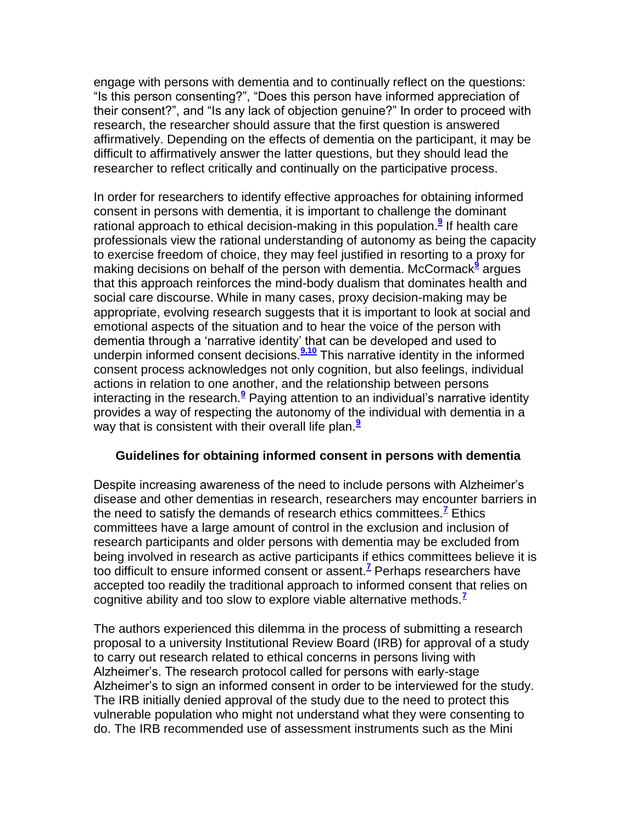engage with persons with dementia and to continually reflect on the questions: "Is this person consenting?", "Does this person have informed appreciation of their consent?", and "Is any lack of objection genuine?" In order to proceed with research, the researcher should assure that the first question is answered affirmatively. Depending on the effects of dementia on the participant, it may be difficult to affirmatively answer the latter questions, but they should lead the researcher to reflect critically and continually on the participative process.

In order for researchers to identify effective approaches for obtaining informed consent in persons with dementia, it is important to challenge the dominant rational approach to ethical decision-making in this population.**[9](http://snrs.org/publications/SOJNR_articles2/n)** If health care professionals view the rational understanding of autonomy as being the capacity to exercise freedom of choice, they may feel justified in resorting to a proxy for making decisions on behalf of the person with dementia. McCormack<sup>[9](http://snrs.org/publications/SOJNR_articles2/n)</sup> argues that this approach reinforces the mind-body dualism that dominates health and social care discourse. While in many cases, proxy decision-making may be appropriate, evolving research suggests that it is important to look at social and emotional aspects of the situation and to hear the voice of the person with dementia through a "narrative identity" that can be developed and used to underpin informed consent decisions.**[9,10](http://snrs.org/publications/SOJNR_articles2/n)** This narrative identity in the informed consent process acknowledges not only cognition, but also feelings, individual actions in relation to one another, and the relationship between persons interacting in the research.**[9](http://snrs.org/publications/SOJNR_articles2/n)** Paying attention to an individual"s narrative identity provides a way of respecting the autonomy of the individual with dementia in a way that is consistent with their overall life plan.<sup>[9](http://snrs.org/publications/SOJNR_articles2/n)</sup>

#### **Guidelines for obtaining informed consent in persons with dementia**

Despite increasing awareness of the need to include persons with Alzheimer"s disease and other dementias in research, researchers may encounter barriers in the need to satisfy the demands of research ethics committees.**[7](http://snrs.org/publications/SOJNR_articles2/n)** Ethics committees have a large amount of control in the exclusion and inclusion of research participants and older persons with dementia may be excluded from being involved in research as active participants if ethics committees believe it is too difficult to ensure informed consent or assent.**[7](http://snrs.org/publications/SOJNR_articles2/n)** Perhaps researchers have accepted too readily the traditional approach to informed consent that relies on cognitive ability and too slow to explore viable alternative methods.**[7](http://snrs.org/publications/SOJNR_articles2/n)**

The authors experienced this dilemma in the process of submitting a research proposal to a university Institutional Review Board (IRB) for approval of a study to carry out research related to ethical concerns in persons living with Alzheimer"s. The research protocol called for persons with early-stage Alzheimer"s to sign an informed consent in order to be interviewed for the study. The IRB initially denied approval of the study due to the need to protect this vulnerable population who might not understand what they were consenting to do. The IRB recommended use of assessment instruments such as the Mini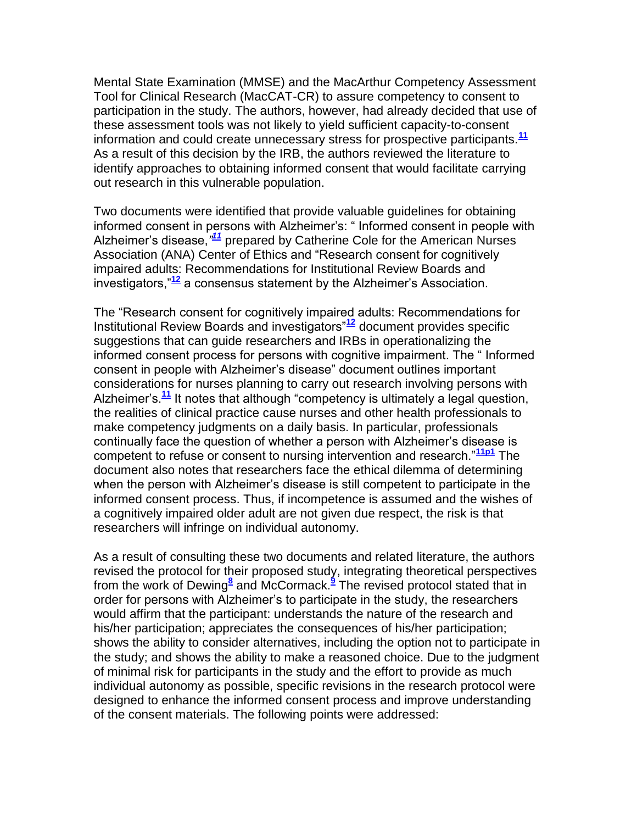Mental State Examination (MMSE) and the MacArthur Competency Assessment Tool for Clinical Research (MacCAT-CR) to assure competency to consent to participation in the study. The authors, however, had already decided that use of these assessment tools was not likely to yield sufficient capacity-to-consent information and could create unnecessary stress for prospective participants.**[11](http://snrs.org/publications/SOJNR_articles2/n)** As a result of this decision by the IRB, the authors reviewed the literature to identify approaches to obtaining informed consent that would facilitate carrying out research in this vulnerable population.

Two documents were identified that provide valuable guidelines for obtaining informed consent in persons with Alzheimer"s: " Informed consent in people with Alzheimer"s disease,*" [11](http://snrs.org/publications/SOJNR_articles2/n)* prepared by Catherine Cole for the American Nurses Association (ANA) Center of Ethics and "Research consent for cognitively impaired adults: Recommendations for Institutional Review Boards and investigators,"**[12](http://snrs.org/publications/SOJNR_articles2/n)** a consensus statement by the Alzheimer"s Association.

The "Research consent for cognitively impaired adults: Recommendations for Institutional Review Boards and investigators"**[12](http://snrs.org/publications/SOJNR_articles2/n)** document provides specific suggestions that can guide researchers and IRBs in operationalizing the informed consent process for persons with cognitive impairment. The " Informed consent in people with Alzheimer"s disease" document outlines important considerations for nurses planning to carry out research involving persons with Alzheimer"s.**[11](http://snrs.org/publications/SOJNR_articles2/n)** It notes that although "competency is ultimately a legal question, the realities of clinical practice cause nurses and other health professionals to make competency judgments on a daily basis. In particular, professionals continually face the question of whether a person with Alzheimer"s disease is competent to refuse or consent to nursing intervention and research."**[11p1](http://snrs.org/publications/SOJNR_articles2/n)** The document also notes that researchers face the ethical dilemma of determining when the person with Alzheimer's disease is still competent to participate in the informed consent process. Thus, if incompetence is assumed and the wishes of a cognitively impaired older adult are not given due respect, the risk is that researchers will infringe on individual autonomy.

As a result of consulting these two documents and related literature, the authors revised the protocol for their proposed study, integrating theoretical perspectives from the work of Dewing**[8](http://snrs.org/publications/SOJNR_articles2/n)** and McCormack.**[9](http://snrs.org/publications/SOJNR_articles2/n)** The revised protocol stated that in order for persons with Alzheimer"s to participate in the study, the researchers would affirm that the participant: understands the nature of the research and his/her participation; appreciates the consequences of his/her participation; shows the ability to consider alternatives, including the option not to participate in the study; and shows the ability to make a reasoned choice. Due to the judgment of minimal risk for participants in the study and the effort to provide as much individual autonomy as possible, specific revisions in the research protocol were designed to enhance the informed consent process and improve understanding of the consent materials. The following points were addressed: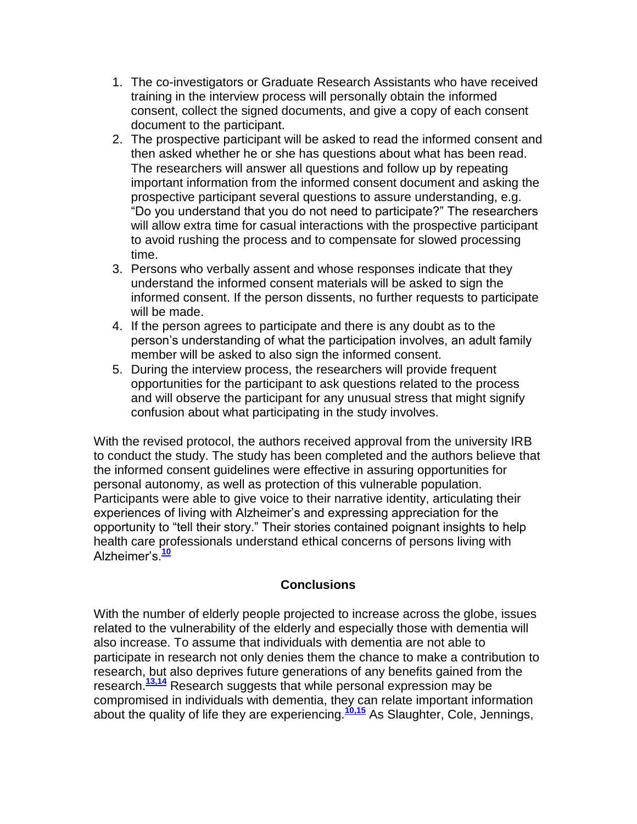- 1. The co-investigators or Graduate Research Assistants who have received training in the interview process will personally obtain the informed consent, collect the signed documents, and give a copy of each consent document to the participant.
- 2. The prospective participant will be asked to read the informed consent and then asked whether he or she has questions about what has been read. The researchers will answer all questions and follow up by repeating important information from the informed consent document and asking the prospective participant several questions to assure understanding, e.g. "Do you understand that you do not need to participate?" The researchers will allow extra time for casual interactions with the prospective participant to avoid rushing the process and to compensate for slowed processing time.
- 3. Persons who verbally assent and whose responses indicate that they understand the informed consent materials will be asked to sign the informed consent. If the person dissents, no further requests to participate will be made.
- 4. If the person agrees to participate and there is any doubt as to the person"s understanding of what the participation involves, an adult family member will be asked to also sign the informed consent.
- 5. During the interview process, the researchers will provide frequent opportunities for the participant to ask questions related to the process and will observe the participant for any unusual stress that might signify confusion about what participating in the study involves.

With the revised protocol, the authors received approval from the university IRB to conduct the study. The study has been completed and the authors believe that the informed consent guidelines were effective in assuring opportunities for personal autonomy, as well as protection of this vulnerable population. Participants were able to give voice to their narrative identity, articulating their experiences of living with Alzheimer"s and expressing appreciation for the opportunity to "tell their story." Their stories contained poignant insights to help health care professionals understand ethical concerns of persons living with Alzheimer"s.**[10](http://snrs.org/publications/SOJNR_articles2/n)**

## **Conclusions**

With the number of elderly people projected to increase across the globe, issues related to the vulnerability of the elderly and especially those with dementia will also increase. To assume that individuals with dementia are not able to participate in research not only denies them the chance to make a contribution to research, but also deprives future generations of any benefits gained from the research.**[13,14](http://snrs.org/publications/SOJNR_articles2/n)** Research suggests that while personal expression may be compromised in individuals with dementia, they can relate important information about the quality of life they are experiencing.**[10,15](http://snrs.org/publications/SOJNR_articles2/n)** As Slaughter, Cole, Jennings,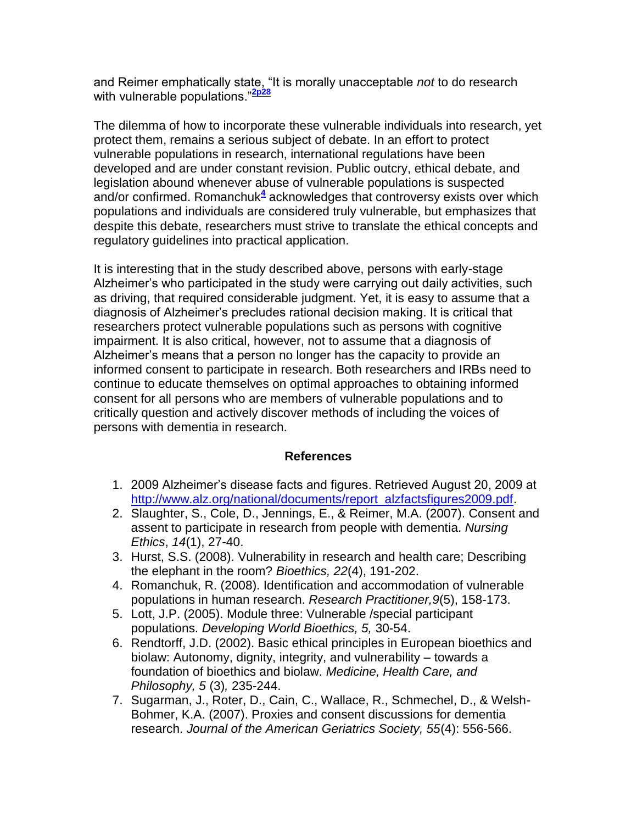and Reimer emphatically state, "It is morally unacceptable *not* to do research with vulnerable populations "<sup>[2p28](http://snrs.org/publications/SOJNR_articles2/n)</sup>

The dilemma of how to incorporate these vulnerable individuals into research, yet protect them, remains a serious subject of debate. In an effort to protect vulnerable populations in research, international regulations have been developed and are under constant revision. Public outcry, ethical debate, and legislation abound whenever abuse of vulnerable populations is suspected and/or confirmed. Romanchu[k](http://snrs.org/publications/SOJNR_articles2/n)<sup>4</sup> acknowledges that controversy exists over which populations and individuals are considered truly vulnerable, but emphasizes that despite this debate, researchers must strive to translate the ethical concepts and regulatory guidelines into practical application.

It is interesting that in the study described above, persons with early-stage Alzheimer"s who participated in the study were carrying out daily activities, such as driving, that required considerable judgment. Yet, it is easy to assume that a diagnosis of Alzheimer"s precludes rational decision making. It is critical that researchers protect vulnerable populations such as persons with cognitive impairment. It is also critical, however, not to assume that a diagnosis of Alzheimer"s means that a person no longer has the capacity to provide an informed consent to participate in research. Both researchers and IRBs need to continue to educate themselves on optimal approaches to obtaining informed consent for all persons who are members of vulnerable populations and to critically question and actively discover methods of including the voices of persons with dementia in research.

## **References**

- 1. 2009 Alzheimer"s disease facts and figures. Retrieved August 20, 2009 at [http://www.alz.org/national/documents/report\\_alzfactsfigures2009.pdf.](http://www.alz.org/national/documents/report_alzfactsfigures2009.pdf)
- 2. Slaughter, S., Cole, D., Jennings, E., & Reimer, M.A. (2007). Consent and assent to participate in research from people with dementia. *Nursing Ethics*, *14*(1), 27-40.
- 3. Hurst, S.S. (2008). Vulnerability in research and health care; Describing the elephant in the room? *Bioethics, 22*(4), 191-202.
- 4. Romanchuk, R. (2008). Identification and accommodation of vulnerable populations in human research. *Research Practitioner,9*(5), 158-173.
- 5. Lott, J.P. (2005). Module three: Vulnerable /special participant populations. *Developing World Bioethics, 5,* 30-54.
- 6. Rendtorff, J.D. (2002). Basic ethical principles in European bioethics and biolaw: Autonomy, dignity, integrity, and vulnerability – towards a foundation of bioethics and biolaw. *Medicine, Health Care, and Philosophy, 5* (3)*,* 235-244.
- 7. Sugarman, J., Roter, D., Cain, C., Wallace, R., Schmechel, D., & Welsh-Bohmer, K.A. (2007). Proxies and consent discussions for dementia research. *Journal of the American Geriatrics Society, 55*(4): 556-566.